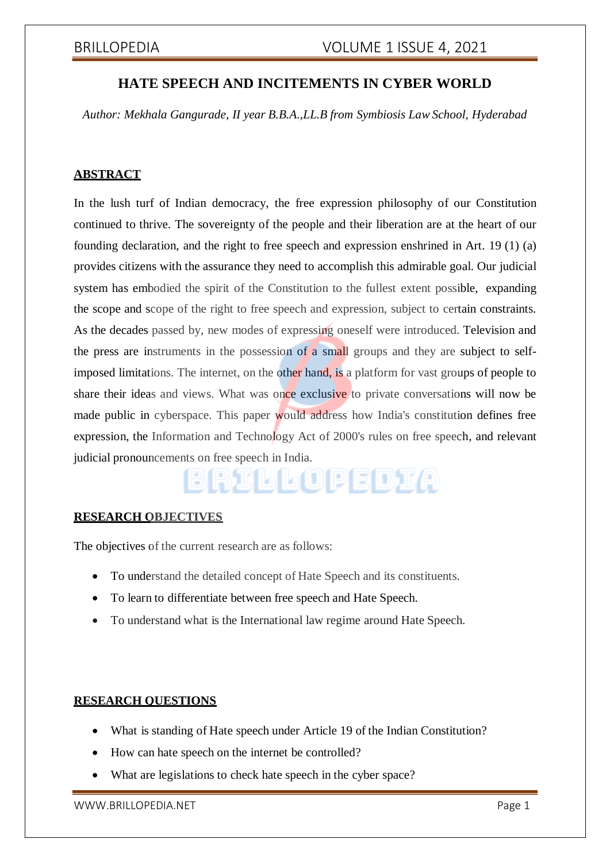## **HATE SPEECH AND INCITEMENTS IN CYBER WORLD**

*Author: Mekhala Gangurade, II year B.B.A.,LL.B from Symbiosis Law School, Hyderabad*

## **ABSTRACT**

In the lush turf of Indian democracy, the free expression philosophy of our Constitution continued to thrive. The sovereignty of the people and their liberation are at the heart of our founding declaration, and the right to free speech and expression enshrined in Art. 19 (1) (a) provides citizens with the assurance they need to accomplish this admirable goal. Our judicial system has embodied the spirit of the Constitution to the fullest extent possible, expanding the scope and scope of the right to free speech and expression, subject to certain constraints. As the decades passed by, new modes of expressing oneself were introduced. Television and the press are instruments in the possession of a small groups and they are subject to selfimposed limitations. The internet, on the other hand, is a platform for vast groups of people to share their ideas and views. What was once exclusive to private conversations will now be made public in cyberspace. This paper would address how India's constitution defines free expression, the Information and Technology Act of 2000's rules on free speech, and relevant judicial pronouncements on free speech in India.

BRILLOPEDIA

## **RESEARCH OBJECTIVES**

The objectives of the current research are as follows:

- To understand the detailed concept of Hate Speech and its constituents.
- To learn to differentiate between free speech and Hate Speech.
- To understand what is the International law regime around Hate Speech.

## **RESEARCH QUESTIONS**

- What is standing of Hate speech under Article 19 of the Indian Constitution?
- How can hate speech on the internet be controlled?
- What are legislations to check hate speech in the cyber space?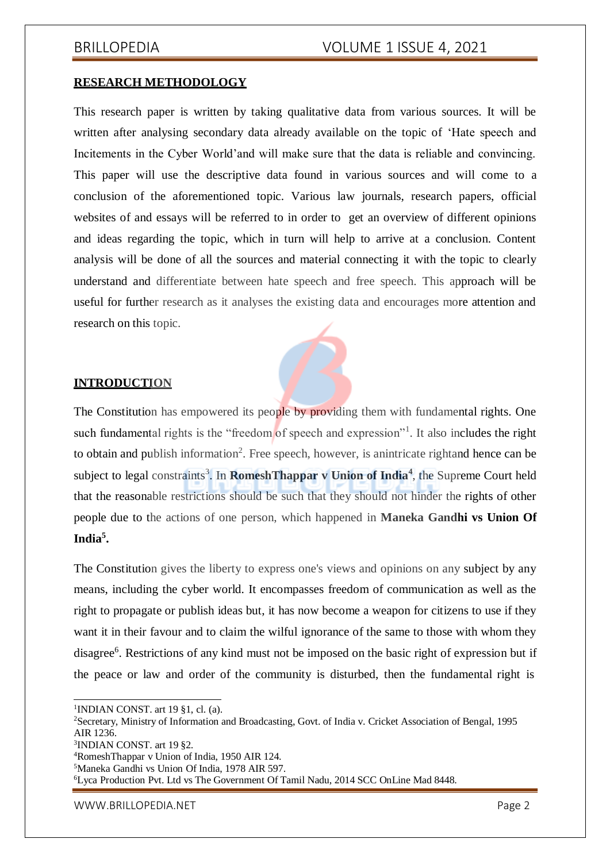### **RESEARCH METHODOLOGY**

This research paper is written by taking qualitative data from various sources. It will be written after analysing secondary data already available on the topic of 'Hate speech and Incitements in the Cyber World'and will make sure that the data is reliable and convincing. This paper will use the descriptive data found in various sources and will come to a conclusion of the aforementioned topic. Various law journals, research papers, official websites of and essays will be referred to in order to get an overview of different opinions and ideas regarding the topic, which in turn will help to arrive at a conclusion. Content analysis will be done of all the sources and material connecting it with the topic to clearly understand and differentiate between hate speech and free speech. This approach will be useful for further research as it analyses the existing data and encourages more attention and research on this topic.

## **INTRODUCTION**

The Constitution has empowered its people by providing them with fundamental rights. One such fundamental rights is the "freedom of speech and expression"<sup>1</sup>. It also includes the right to obtain and publish information<sup>2</sup>. Free speech, however, is anintricate rightand hence can be subject to legal constraints<sup>3</sup>. In **RomeshThappar v Union of India<sup>4</sup>**, the Supreme Court held that the reasonable restrictions should be such that they should not hinder the rights of other people due to the actions of one person, which happened in **Maneka Gandhi vs Union Of India<sup>5</sup> .**

The Constitution gives the liberty to express one's views and opinions on any subject by any means, including the cyber world. It encompasses freedom of communication as well as the right to propagate or publish ideas but, it has now become a weapon for citizens to use if they want it in their favour and to claim the wilful ignorance of the same to those with whom they disagree<sup>6</sup>. Restrictions of any kind must not be imposed on the basic right of expression but if the peace or law and order of the community is disturbed, then the fundamental right is

<sup>4</sup>RomeshThappar v Union of India, 1950 AIR 124.

<sup>&</sup>lt;sup>1</sup>INDIAN CONST. art 19 §1, cl. (a).

<sup>2</sup>Secretary, Ministry of Information and Broadcasting, Govt. of India v. Cricket Association of Bengal, 1995 AIR 1236.

<sup>3</sup> INDIAN CONST. art 19 §2.

<sup>5</sup>Maneka Gandhi vs Union Of India, 1978 AIR 597.

<sup>6</sup>Lyca Production Pvt. Ltd vs The Government Of Tamil Nadu, 2014 SCC OnLine Mad 8448.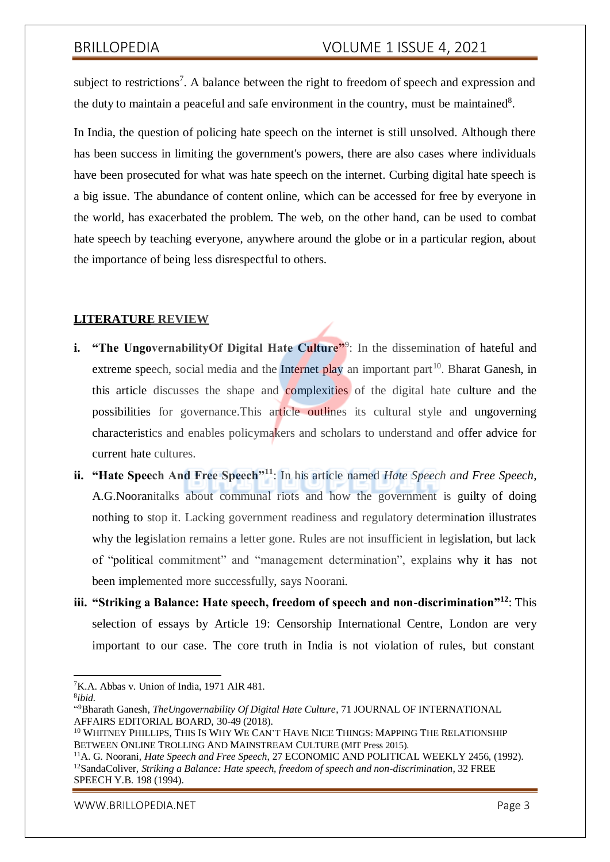subject to restrictions<sup>7</sup>. A balance between the right to freedom of speech and expression and the duty to maintain a peaceful and safe environment in the country, must be maintained<sup>8</sup>.

In India, the question of policing hate speech on the internet is still unsolved. Although there has been success in limiting the government's powers, there are also cases where individuals have been prosecuted for what was hate speech on the internet. Curbing digital hate speech is a big issue. The abundance of content online, which can be accessed for free by everyone in the world, has exacerbated the problem. The web, on the other hand, can be used to combat hate speech by teaching everyone, anywhere around the globe or in a particular region, about the importance of being less disrespectful to others.

## **LITERATURE REVIEW**

- **i.** "The UngovernabilityOf Digital Hate Culture"<sup>9</sup>: In the dissemination of hateful and extreme speech, social media and the Internet play an important part<sup>10</sup>. Bharat Ganesh, in this article discusses the shape and complexities of the digital hate culture and the possibilities for governance.This article outlines its cultural style and ungoverning characteristics and enables policymakers and scholars to understand and offer advice for current hate cultures.
- **ii. "Hate Speech And Free Speech"<sup>11</sup>**: In his article named *Hate Speech and Free Speech*, A.G.Nooranitalks about communal riots and how the government is guilty of doing nothing to stop it. Lacking government readiness and regulatory determination illustrates why the legislation remains a letter gone. Rules are not insufficient in legislation, but lack of "political commitment" and "management determination", explains why it has not been implemented more successfully, says Noorani.
- **iii. "Striking a Balance: Hate speech, freedom of speech and non-discrimination"<sup>12</sup>**: This selection of essays by Article 19: Censorship International Centre, London are very important to our case. The core truth in India is not violation of rules, but constant

[WWW.BRILLOPEDIA.NET](http://www.brillopedia.net/) Page 3

<sup>7</sup>K.A. Abbas v. Union of India, 1971 AIR 481.

<sup>8</sup> *ibid.*

<sup>&</sup>quot; <sup>9</sup>Bharath Ganesh, *TheUngovernability Of Digital Hate Culture*, 71 JOURNAL OF INTERNATIONAL AFFAIRS EDITORIAL BOARD, 30-49 (2018).

<sup>10</sup> WHITNEY PHILLIPS, THIS IS WHY WE CAN'T HAVE NICE THINGS: MAPPING THE RELATIONSHIP BETWEEN ONLINE TROLLING AND MAINSTREAM CULTURE (MIT Press 2015).

<sup>11</sup>A. G. Noorani, *Hate Speech and Free Speech*, 27 ECONOMIC AND POLITICAL WEEKLY 2456, (1992). <sup>12</sup>SandaColiver, *Striking a Balance: Hate speech, freedom of speech and non-discrimination*, 32 FREE SPEECH Y.B. 198 (1994).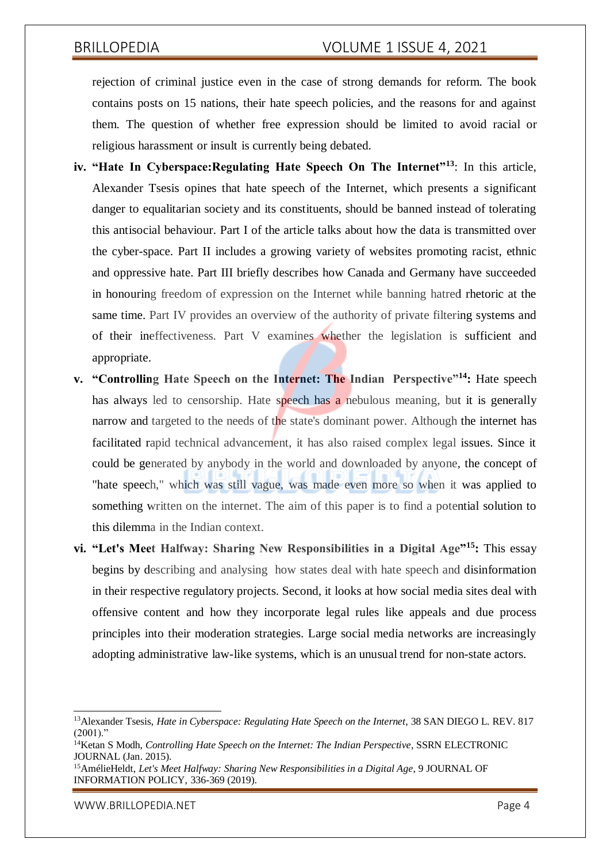rejection of criminal justice even in the case of strong demands for reform. The book contains posts on 15 nations, their hate speech policies, and the reasons for and against them. The question of whether free expression should be limited to avoid racial or religious harassment or insult is currently being debated.

- **iv. "Hate In Cyberspace:Regulating Hate Speech On The Internet"<sup>13</sup>**: In this article, Alexander Tsesis opines that hate speech of the Internet, which presents a significant danger to equalitarian society and its constituents, should be banned instead of tolerating this antisocial behaviour. Part I of the article talks about how the data is transmitted over the cyber-space. Part II includes a growing variety of websites promoting racist, ethnic and oppressive hate. Part III briefly describes how Canada and Germany have succeeded in honouring freedom of expression on the Internet while banning hatred rhetoric at the same time. Part IV provides an overview of the authority of private filtering systems and of their ineffectiveness. Part V examines whether the legislation is sufficient and appropriate.
- **v. "Controlling Hate Speech on the Internet: The Indian Perspective"<sup>14</sup>:** Hate speech has always led to censorship. Hate speech has a nebulous meaning, but it is generally narrow and targeted to the needs of the state's dominant power. Although the internet has facilitated rapid technical advancement, it has also raised complex legal issues. Since it could be generated by anybody in the world and downloaded by anyone, the concept of "hate speech," which was still vague, was made even more so when it was applied to something written on the internet. The aim of this paper is to find a potential solution to this dilemma in the Indian context.
- **vi. "Let's Meet Halfway: Sharing New Responsibilities in a Digital Age<sup>"15</sup>; This essay** begins by describing and analysing how states deal with hate speech and disinformation in their respective regulatory projects. Second, it looks at how social media sites deal with offensive content and how they incorporate legal rules like appeals and due process principles into their moderation strategies. Large social media networks are increasingly adopting administrative law-like systems, which is an unusual trend for non-state actors.

[WWW.BRILLOPEDIA.NET](http://www.brillopedia.net/) Page 4

<sup>13</sup>Alexander Tsesis, *Hate in Cyberspace: Regulating Hate Speech on the Internet*, 38 SAN DIEGO L. REV. 817  $(2001)$ ."

<sup>&</sup>lt;sup>14</sup>Ketan S Modh, *Controlling Hate Speech on the Internet: The Indian Perspective*, SSRN ELECTRONIC JOURNAL (Jan. 2015).

<sup>15</sup>AmélieHeldt, *Let's Meet Halfway: Sharing New Responsibilities in a Digital Age*, 9 JOURNAL OF INFORMATION POLICY, 336-369 (2019).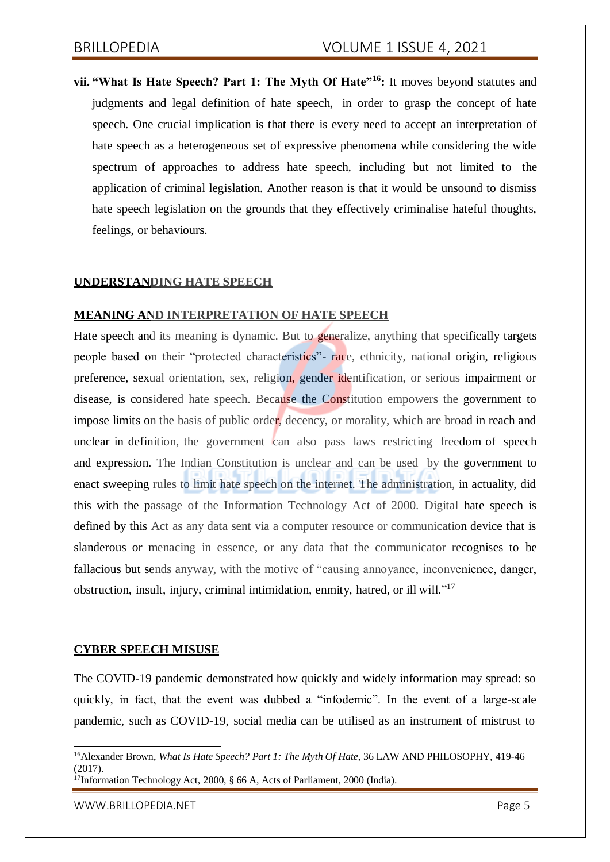**vii. "What Is Hate Speech? Part 1: The Myth Of Hate"<sup>16</sup>: It moves beyond statutes and** judgments and legal definition of hate speech, in order to grasp the concept of hate speech. One crucial implication is that there is every need to accept an interpretation of hate speech as a heterogeneous set of expressive phenomena while considering the wide spectrum of approaches to address hate speech, including but not limited to the application of criminal legislation. Another reason is that it would be unsound to dismiss hate speech legislation on the grounds that they effectively criminalise hateful thoughts, feelings, or behaviours.

## **UNDERSTANDING HATE SPEECH**

### **MEANING AND INTERPRETATION OF HATE SPEECH**

Hate speech and its meaning is dynamic. But to generalize, anything that specifically targets people based on their "protected characteristics"- race, ethnicity, national origin, religious preference, sexual orientation, sex, religion, gender identification, or serious impairment or disease, is considered hate speech. Because the Constitution empowers the government to impose limits on the basis of public order, decency, or morality, which are broad in reach and unclear in definition, the government can also pass laws restricting freedom of speech and expression. The Indian Constitution is unclear and can be used by the government to enact sweeping rules to limit hate speech on the internet. The administration, in actuality, did this with the passage of the Information Technology Act of 2000. Digital hate speech is defined by this Act as any data sent via a computer resource or communication device that is slanderous or menacing in essence, or any data that the communicator recognises to be fallacious but sends anyway, with the motive of "causing annoyance, inconvenience, danger, obstruction, insult, injury, criminal intimidation, enmity, hatred, or ill will."<sup>17</sup>

### **CYBER SPEECH MISUSE**

The COVID-19 pandemic demonstrated how quickly and widely information may spread: so quickly, in fact, that the event was dubbed a "infodemic". In the event of a large-scale pandemic, such as COVID-19, social media can be utilised as an instrument of mistrust to

[WWW.BRILLOPEDIA.NET](http://www.brillopedia.net/)

<sup>16</sup>Alexander Brown, *What Is Hate Speech? Part 1: The Myth Of Hate*, 36 LAW AND PHILOSOPHY, 419-46 (2017).

<sup>&</sup>lt;sup>17</sup>Information Technology Act, 2000,  $\S$  66 A, Acts of Parliament, 2000 (India).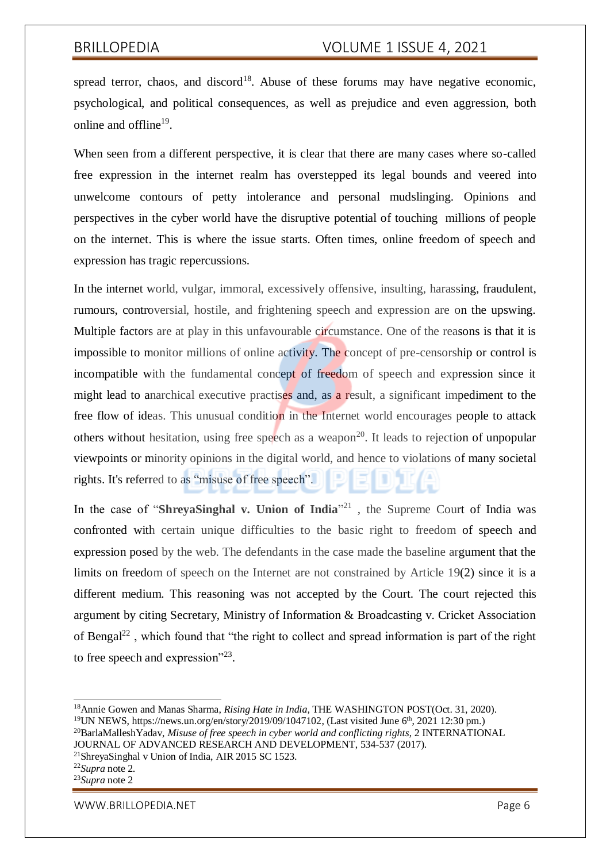spread terror, chaos, and discord<sup>18</sup>. Abuse of these forums may have negative economic, psychological, and political consequences, as well as prejudice and even aggression, both online and offline<sup>19</sup>.

When seen from a different perspective, it is clear that there are many cases where so-called free expression in the internet realm has overstepped its legal bounds and veered into unwelcome contours of petty intolerance and personal mudslinging. Opinions and perspectives in the cyber world have the disruptive potential of touching millions of people on the internet. This is where the issue starts. Often times, online freedom of speech and expression has tragic repercussions.

In the internet world, vulgar, immoral, excessively offensive, insulting, harassing, fraudulent, rumours, controversial, hostile, and frightening speech and expression are on the upswing. Multiple factors are at play in this unfavourable circumstance. One of the reasons is that it is impossible to monitor millions of online activity. The concept of pre-censorship or control is incompatible with the fundamental concept of freedom of speech and expression since it might lead to anarchical executive practises and, as a result, a significant impediment to the free flow of ideas. This unusual condition in the Internet world encourages people to attack others without hesitation, using free speech as a weapon<sup>20</sup>. It leads to rejection of unpopular viewpoints or minority opinions in the digital world, and hence to violations of many societal rights. It's referred to as "misuse of free speech".

In the case of "**ShreyaSinghal v. Union of India**" <sup>21</sup> , the Supreme Court of India was confronted with certain unique difficulties to the basic right to freedom of speech and expression posed by the web. The defendants in the case made the baseline argument that the limits on freedom of speech on the Internet are not constrained by Article 19(2) since it is a different medium. This reasoning was not accepted by the Court. The court rejected this argument by citing Secretary, Ministry of Information & Broadcasting v. Cricket Association of Bengal<sup>22</sup>, which found that "the right to collect and spread information is part of the right to free speech and expression"<sup>23</sup>.

<sup>19</sup>UN NEWS, [https://news.un.org/en/story/2019/09/1047102,](https://news.un.org/en/story/2019/09/1047102) (Last visited June  $6<sup>th</sup>$ , 2021 12:30 pm.)

- <sup>21</sup>ShreyaSinghal v Union of India, AIR 2015 SC 1523.
- <sup>22</sup>*Supra* note 2.
- <sup>23</sup>*Supra* note 2

[WWW.BRILLOPEDIA.NET](http://www.brillopedia.net/)

<sup>18</sup>Annie Gowen and Manas Sharma, *[Rising Hate in India,](https://www.washingtonpost.com/graphics/2018/world/reports-of-hate-crime-cases-have-spiked-in-india/?utm_term=.2712573765d9)* THE WASHINGTON POST(Oct. 31, 2020).

<sup>20</sup>BarlaMalleshYadav, *Misuse of free speech in cyber world and conflicting rights*, 2 INTERNATIONAL

JOURNAL OF ADVANCED RESEARCH AND DEVELOPMENT, 534-537 (2017).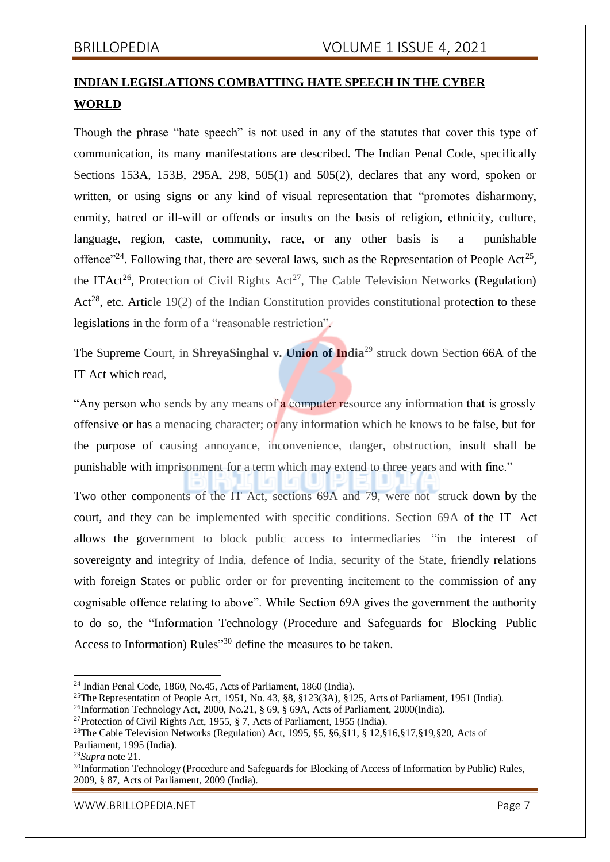# **INDIAN LEGISLATIONS COMBATTING HATE SPEECH IN THE CYBER WORLD**

Though the phrase "hate speech" is not used in any of the statutes that cover this type of communication, its many manifestations are described. The Indian Penal Code, specifically Sections 153A, 153B, 295A, 298, 505(1) and 505(2), declares that any word, spoken or written, or using signs or any kind of visual representation that "promotes disharmony, enmity, hatred or ill-will or offends or insults on the basis of religion, ethnicity, culture, language, region, caste, community, race, or any other basis is a punishable offence"<sup>24</sup>. Following that, there are several laws, such as the Representation of People Act<sup>25</sup>, the ITAct<sup>26</sup>, Protection of Civil Rights Act<sup>27</sup>, The Cable Television Networks (Regulation) Act<sup>28</sup>, etc. Article 19(2) of the Indian Constitution provides constitutional protection to these legislations in the form of a "reasonable restriction".

The Supreme Court, in **ShreyaSinghal v. Union of India**<sup>29</sup> struck down Section 66A of the IT Act which read,

"Any person who sends by any means of a computer resource any information that is grossly offensive or has a menacing character; or any information which he knows to be false, but for the purpose of causing annoyance, inconvenience, danger, obstruction, insult shall be punishable with imprisonment for a term which may extend to three years and with fine."

Two other components of the IT Act, sections 69A and 79, were not struck down by the court, and they can be implemented with specific conditions. Section 69A of the IT Act allows the government to block public access to intermediaries "in the interest of sovereignty and integrity of India, defence of India, security of the State, friendly relations with foreign States or public order or for preventing incitement to the commission of any cognisable offence relating to above". While Section 69A gives the government the authority to do so, the "Information Technology (Procedure and Safeguards for Blocking Public Access to Information) Rules"<sup>30</sup> define the measures to be taken.

<sup>24</sup> Indian Penal Code, 1860, No.45, Acts of Parliament, 1860 (India).

<sup>&</sup>lt;sup>25</sup>The Representation of People Act, 1951, No. 43, §8, §123(3A), §125, Acts of Parliament, 1951 (India). <sup>26</sup>Information Technology Act, 2000, No.21, § 69, § 69A, Acts of Parliament, 2000(India).

<sup>&</sup>lt;sup>27</sup>Protection of Civil Rights Act, 1955,  $\S$  7, Acts of Parliament, 1955 (India).

<sup>28</sup>The Cable Television Networks (Regulation) Act, 1995, §5, §6,§11, § 12,§16,§17,§19,§20, Acts of Parliament, 1995 (India).

<sup>29</sup>*Supra* note 21.

<sup>&</sup>lt;sup>30</sup>Information Technology (Procedure and Safeguards for Blocking of Access of Information by Public) Rules, 2009, § 87, Acts of Parliament, 2009 (India).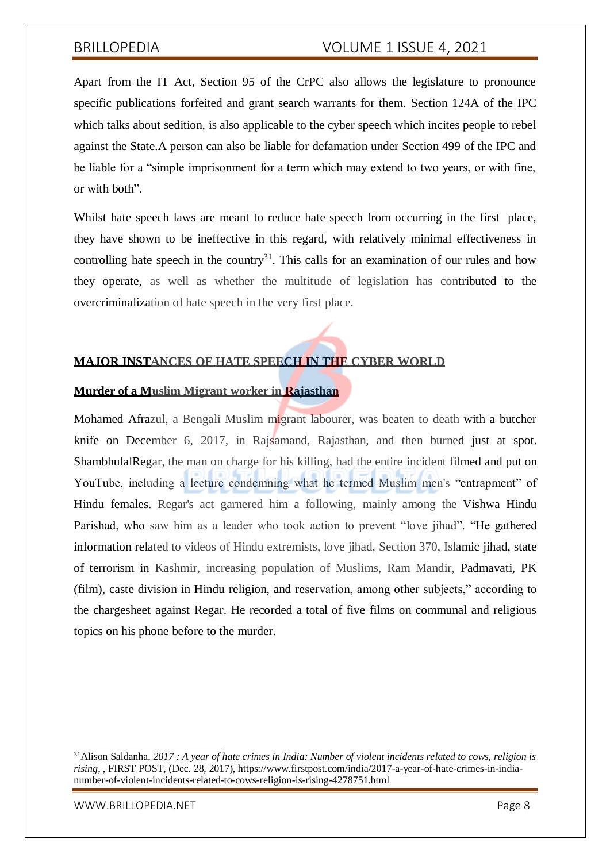Apart from the IT Act, Section 95 of the CrPC also allows the legislature to pronounce specific publications forfeited and grant search warrants for them. Section 124A of the IPC which talks about sedition, is also applicable to the cyber speech which incites people to rebel against the State.A person can also be liable for defamation under Section 499 of the IPC and be liable for a "simple imprisonment for a term which may extend to two years, or with fine, or with both".

Whilst hate speech laws are meant to reduce hate speech from occurring in the first place, they have shown to be ineffective in this regard, with relatively minimal effectiveness in controlling hate speech in the country<sup>31</sup>. This calls for an examination of our rules and how they operate, as well as whether the multitude of legislation has contributed to the overcriminalization of hate speech in the very first place.

## **MAJOR INSTANCES OF HATE SPEECH IN THE CYBER WORLD**

## **Murder of a Muslim Migrant worker in Rajasthan**

Mohamed Afrazul, a Bengali Muslim migrant labourer, was beaten to death with a butcher knife on December 6, 2017, in Rajsamand, Rajasthan, and then burned just at spot. ShambhulalRegar, the man on charge for his killing, had the entire incident filmed and put on YouTube, including a lecture condemning what he termed Muslim men's "entrapment" of Hindu females. Regar's act garnered him a following, mainly among the Vishwa Hindu Parishad, who saw him as a leader who took action to prevent "love jihad". "He gathered information related to videos of Hindu extremists, love jihad, Section 370, Islamic jihad, state of terrorism in Kashmir, increasing population of Muslims, Ram Mandir, Padmavati, PK (film), caste division in Hindu religion, and reservation, among other subjects," according to the chargesheet against Regar. He recorded a total of five films on communal and religious topics on his phone before to the murder.

<sup>31</sup>Alison Saldanha, *2017 : A year of hate crimes in India: Number of violent incidents related to cows, religion is rising*, , FIRST POST, (Dec. 28, 2017), https:/[/www.firstpost.com/india/2017-a-year-of-hate-crimes-in-india](http://www.firstpost.com/india/2017-a-year-of-hate-crimes-in-india-)number-of-violent-incidents-related-to-cows-religion-is-rising-4278751.html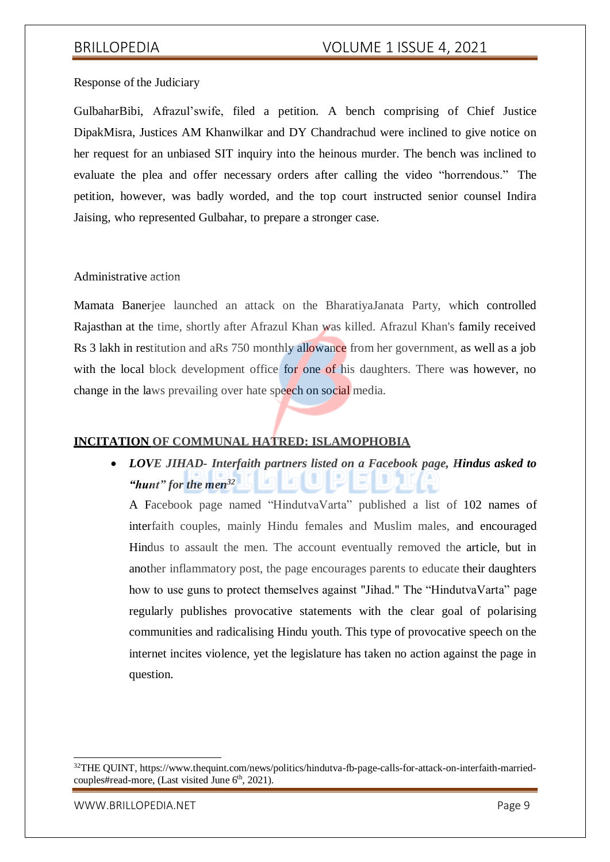Response of the Judiciary

GulbaharBibi, Afrazul'swife, filed a petition. A bench comprising of Chief Justice DipakMisra, Justices AM Khanwilkar and DY Chandrachud were inclined to give notice on her request for an unbiased SIT inquiry into the heinous murder. The bench was inclined to evaluate the plea and offer necessary orders after calling the video "horrendous." The petition, however, was badly worded, and the top court instructed senior counsel Indira Jaising, who represented Gulbahar, to prepare a stronger case.

## Administrative action

Mamata Banerjee launched an attack on the BharatiyaJanata Party, which controlled Rajasthan at the time, shortly after Afrazul Khan was killed. Afrazul Khan's family received Rs 3 lakh in restitution and aRs 750 monthly allowance from her government, as well as a job with the local block development office for one of his daughters. There was however, no change in the laws prevailing over hate speech on social media.

## **INCITATION OF COMMUNAL HATRED: ISLAMOPHOBIA**

 *LOVE JIHAD- Interfaith partners listed on a Facebook page, Hindus asked to "hunt" for the men<sup>32</sup>*

A Facebook page named "HindutvaVarta" published a list of 102 names of interfaith couples, mainly Hindu females and Muslim males, and encouraged Hindus to assault the men. The account eventually removed the article, but in another inflammatory post, the page encourages parents to educate their daughters how to use guns to protect themselves against "Jihad." The "HindutvaVarta" page regularly publishes provocative statements with the clear goal of polarising communities and radicalising Hindu youth. This type of provocative speech on the internet incites violence, yet the legislature has taken no action against the page in question.

<sup>32</sup>THE QUINT[, https://www.thequint.com/news/politics/hindutva-fb-page-calls-for-attack-on-interfaith-married](https://www.thequint.com/news/politics/hindutva-fb-page-calls-for-attack-on-interfaith-married-couples#read-more)[couples#read-more,](https://www.thequint.com/news/politics/hindutva-fb-page-calls-for-attack-on-interfaith-married-couples#read-more) (Last visited June 6<sup>th</sup>, 2021).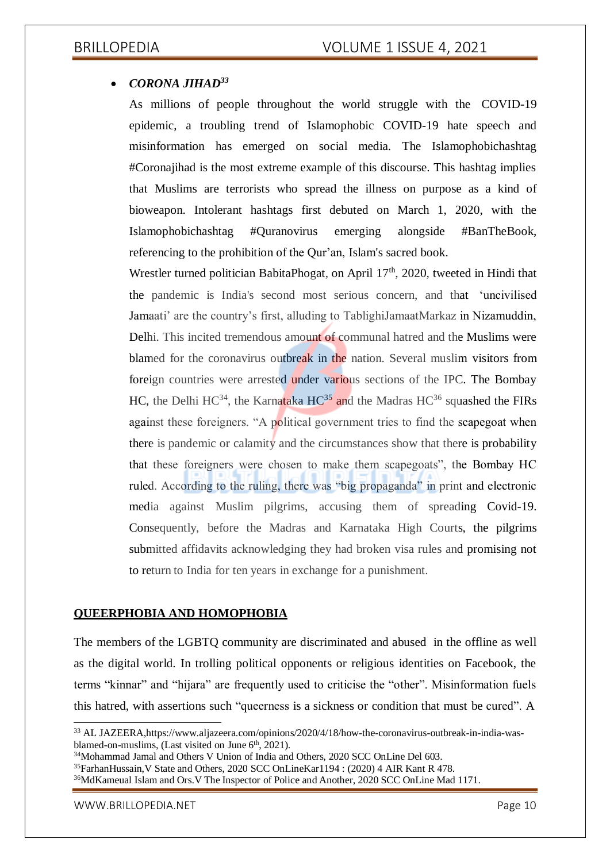## *CORONA JIHAD<sup>33</sup>*

As millions of people throughout the world struggle with the COVID-19 epidemic, a troubling trend of Islamophobic COVID-19 hate speech and misinformation has emerged on social media. The Islamophobichashtag #Coronajihad is the most extreme example of this discourse. This hashtag implies that Muslims are terrorists who spread the illness on purpose as a kind of bioweapon. Intolerant hashtags first debuted on March 1, 2020, with the Islamophobichashtag #Quranovirus emerging alongside #BanTheBook, referencing to the prohibition of the Qur'an, Islam's sacred book.

Wrestler turned politician BabitaPhogat, on April  $17<sup>th</sup>$ , 2020, tweeted in Hindi that the pandemic is India's second most serious concern, and that 'uncivilised Jamaati' are the country's first, alluding to TablighiJamaatMarkaz in Nizamuddin, Delhi. This incited tremendous amount of communal hatred and the Muslims were blamed for the coronavirus outbreak in the nation. Several muslim visitors from foreign countries were arrested under various sections of the IPC. The Bombay HC, the Delhi  $HC^{34}$ , the Karnataka  $HC^{35}$  and the Madras  $HC^{36}$  squashed the FIRs against these foreigners. "A political government tries to find the scapegoat when there is pandemic or calamity and the circumstances show that there is probability that these foreigners were chosen to make them scapegoats", the Bombay HC ruled. According to the ruling, there was "big propaganda" in print and electronic media against Muslim pilgrims, accusing them of spreading Covid-19. Consequently, before the Madras and Karnataka High Courts, the pilgrims submitted affidavits acknowledging they had broken visa rules and promising not to return to India for ten years in exchange for a punishment.

## **QUEERPHOBIA AND HOMOPHOBIA**

The members of the LGBTQ community are discriminated and abused in the offline as well as the digital world. In trolling political opponents or religious identities on Facebook, the terms "kinnar" and "hijara" are frequently used to criticise the "other". Misinformation fuels this hatred, with assertions such "queerness is a sickness or condition that must be cured". A

<sup>35</sup>FarhanHussain,V State and Others, 2020 SCC OnLineKar1194 : (2020) 4 AIR Kant R 478.

<sup>33</sup> AL JAZEER[A,https://www.aljazeera.com/opinions/2020/4/18/how-the-coronavirus-outbreak-in-india-was](https://www.aljazeera.com/opinions/2020/4/18/how-the-coronavirus-outbreak-in-india-was-blamed-on-muslims)[blamed-on-muslims,](https://www.aljazeera.com/opinions/2020/4/18/how-the-coronavirus-outbreak-in-india-was-blamed-on-muslims) (Last visited on June 6<sup>th</sup>, 2021).

<sup>&</sup>lt;sup>34</sup>Mohammad Jamal and Others V Union of India and Others, 2020 SCC OnLine Del 603.

<sup>36</sup>MdKameual Islam and Ors.V The Inspector of Police and Another, 2020 SCC OnLine Mad 1171.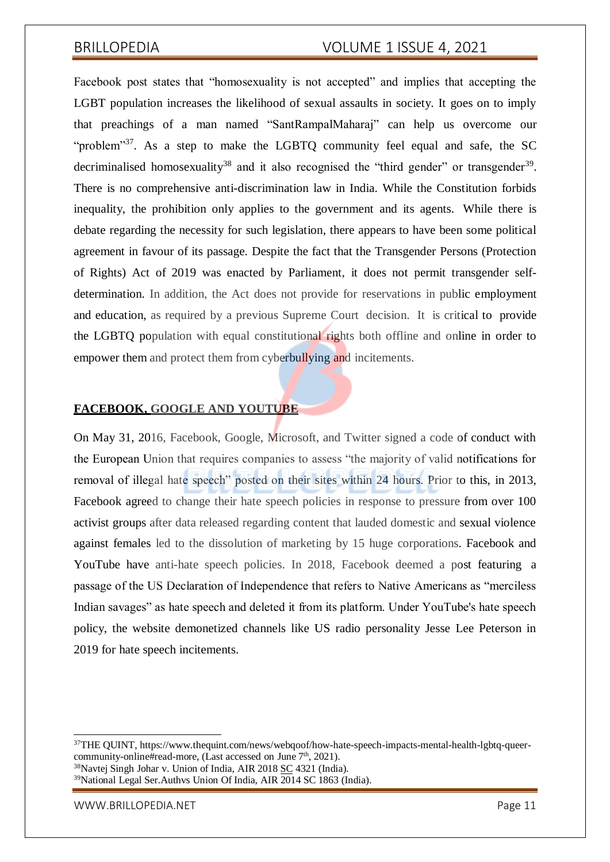Facebook post states that "homosexuality is not accepted" and implies that accepting the LGBT population increases the likelihood of sexual assaults in society. It goes on to imply that preachings of a man named "SantRampalMaharaj" can help us overcome our "problem"<sup>37</sup>. As a step to make the LGBTQ community feel equal and safe, the SC decriminalised homosexuality<sup>38</sup> and it also recognised the "third gender" or transgender<sup>39</sup>. There is no comprehensive anti-discrimination law in India. While the Constitution forbids inequality, the prohibition only applies to the government and its agents. While there is debate regarding the necessity for such legislation, there appears to have been some political agreement in favour of its passage. Despite the fact that the Transgender Persons (Protection of Rights) Act of 2019 was enacted by Parliament, it does not permit transgender selfdetermination. In addition, the Act does not provide for reservations in public employment and education, as required by a previous Supreme Court decision. It is critical to provide the LGBTQ population with equal constitutional rights both offline and online in order to empower them and protect them from cyberbullying and incitements.

## **FACEBOOK, GOOGLE AND YOUTUBE**

On May 31, 2016, Facebook, Google, Microsoft, and Twitter signed a code of conduct with the European Union that requires companies to assess "the majority of valid notifications for removal of illegal hate speech" posted on their sites within 24 hours. Prior to this, in 2013, Facebook agreed to change their hate speech policies in response to pressure from over 100 activist groups after data released regarding content that lauded domestic and sexual violence against females led to the dissolution of marketing by 15 huge corporations. Facebook and YouTube have anti-hate speech policies. In 2018, Facebook deemed a post featuring a passage of the US Declaration of Independence that refers to Native Americans as "merciless Indian savages" as hate speech and deleted it from its platform. Under YouTube's hate speech policy, the website demonetized channels like US radio personality Jesse Lee Peterson in 2019 for hate speech incitements.

<sup>37</sup>THE QUINT[, https://www.thequint.com/news/webqoof/how-hate-speech-impacts-mental-health-lgbtq-queer](https://www.thequint.com/news/webqoof/how-hate-speech-impacts-mental-health-lgbtq-queer-community-online#read-more)[community-online#read-more,](https://www.thequint.com/news/webqoof/how-hate-speech-impacts-mental-health-lgbtq-queer-community-online#read-more) (Last accessed on June 7<sup>th</sup>, 2021).

<sup>38</sup>Navtej Singh Johar v. Union of India, AIR 2018 [SC](https://www.google.com/search?sxsrf=ALeKk00sNqd4RL_Txi1l4TTEGfzixtaf6w%3A1623050584809&q=SC&stick=H4sIAAAAAAAAAONgVuLUz9U3MDK2qDBZxMoU7AwAFcHdeBIAAAA&sa=X&ved=2ahUKEwiO9LzM_oTxAhXVF3IKHaPYBC8QmxMoATAaegQIGxAD) 4321 (India).

 $39$ National Legal Ser. Authvs Union Of India, AIR  $\overline{2014}$  SC 1863 (India).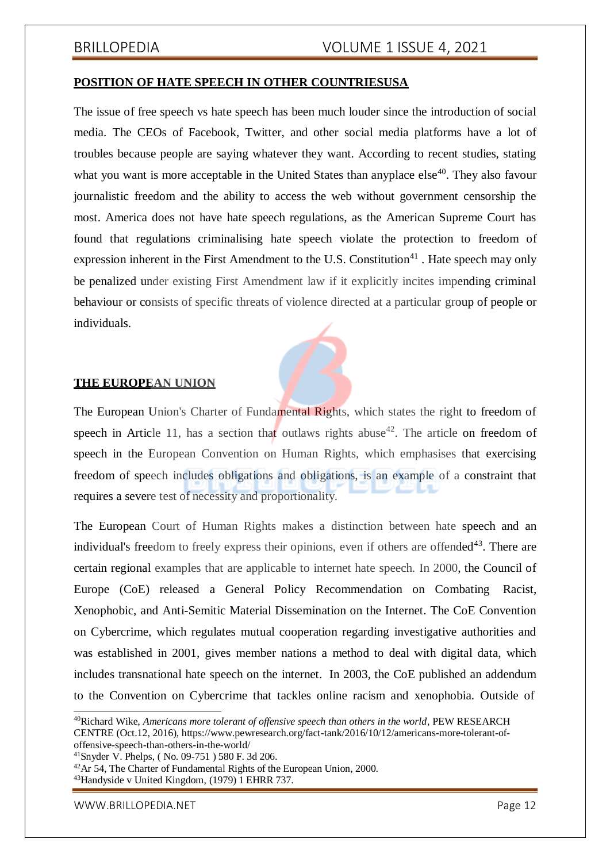## **POSITION OF HATE SPEECH IN OTHER COUNTRIESUSA**

The issue of free speech vs hate speech has been much louder since the introduction of social media. The CEOs of Facebook, Twitter, and other social media platforms have a lot of troubles because people are saying whatever they want. According to recent studies, stating what you want is more acceptable in the United States than any place  $else^{40}$ . They also favour journalistic freedom and the ability to access the web without government censorship the most. America does not have hate speech regulations, as the American Supreme Court has found that regulations criminalising hate speech violate the protection to freedom of expression inherent in the First Amendment to the U.S. Constitution $41$ . Hate speech may only be penalized under existing First Amendment law if it explicitly incites impending criminal behaviour or consists of specific threats of violence directed at a particular group of people or individuals.

### **THE EUROPEAN UNION**

The European Union's Charter of Fundamental Rights, which states the right to freedom of speech in Article 11, has a section that outlaws rights abuse<sup>42</sup>. The article on freedom of speech in the European Convention on Human Rights, which emphasises that exercising freedom of speech includes obligations and obligations, is an example of a constraint that requires a severe test of necessity and proportionality.

The European Court of Human Rights makes a distinction between hate speech and an individual's freedom to freely express their opinions, even if others are offended<sup>43</sup>. There are certain regional examples that are applicable to internet hate speech. In 2000, the Council of Europe (CoE) released a General Policy Recommendation on Combating Racist, Xenophobic, and Anti-Semitic Material Dissemination on the Internet. The CoE Convention on Cybercrime, which regulates mutual cooperation regarding investigative authorities and was established in 2001, gives member nations a method to deal with digital data, which includes transnational hate speech on the internet. In 2003, the CoE published an addendum to the Convention on Cybercrime that tackles online racism and xenophobia. Outside of

<sup>41</sup>Snyder V. Phelps, ( No. 09-751 ) 580 F. 3d 206.



<sup>40</sup>Richard Wike, *Americans more tolerant of offensive speech than others in the world*, PEW RESEARCH CENTRE (Oct.12, 2016), https:/[/www.pewresearch.org/fact-tank/2016/10/12/americans-more-tolerant-of](http://www.pewresearch.org/fact-tank/2016/10/12/americans-more-tolerant-of-)offensive-speech-than-others-in-the-world/

<sup>&</sup>lt;sup>42</sup>Ar 54, The Charter of Fundamental Rights of the European Union, 2000. <sup>43</sup>Handyside v United Kingdom, (1979) 1 EHRR 737.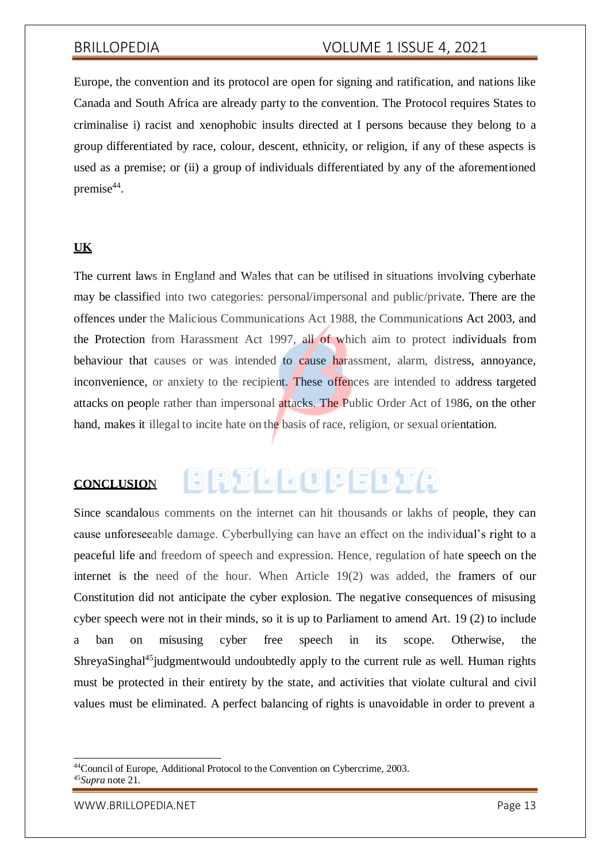Europe, the convention and its protocol are open for signing and ratification, and nations like Canada and South Africa are already party to the convention. The Protocol requires States to criminalise i) racist and xenophobic insults directed at I persons because they belong to a group differentiated by race, colour, descent, ethnicity, or religion, if any of these aspects is used as a premise; or (ii) a group of individuals differentiated by any of the aforementioned premise<sup>44</sup>.

### **UK**

The current laws in England and Wales that can be utilised in situations involving cyberhate may be classified into two categories: personal/impersonal and public/private. There are the offences under the Malicious Communications Act 1988, the Communications Act 2003, and the Protection from Harassment Act 1997, all of which aim to protect individuals from behaviour that causes or was intended to cause harassment, alarm, distress, annoyance, inconvenience, or anxiety to the recipient. These offences are intended to address targeted attacks on people rather than impersonal attacks. The Public Order Act of 1986, on the other hand, makes it illegal to incite hate on the basis of race, religion, or sexual orientation.

### **CONCLUSION**

Since scandalous comments on the internet can hit thousands or lakhs of people, they can cause unforeseeable damage. Cyberbullying can have an effect on the individual's right to a peaceful life and freedom of speech and expression. Hence, regulation of hate speech on the internet is the need of the hour. When Article 19(2) was added, the framers of our Constitution did not anticipate the cyber explosion. The negative consequences of misusing cyber speech were not in their minds, so it is up to Parliament to amend Art. 19 (2) to include a ban on misusing cyber free speech in its scope. Otherwise, the ShreyaSinghal<sup>45</sup>judgmentwould undoubtedly apply to the current rule as well. Human rights must be protected in their entirety by the state, and activities that violate cultural and civil values must be eliminated. A perfect balancing of rights is unavoidable in order to prevent a

BRILLOPEDIA

<sup>44</sup>Council of Europe, Additional Protocol to the Convention on Cybercrime, 2003. <sup>45</sup>*Supra* note 21.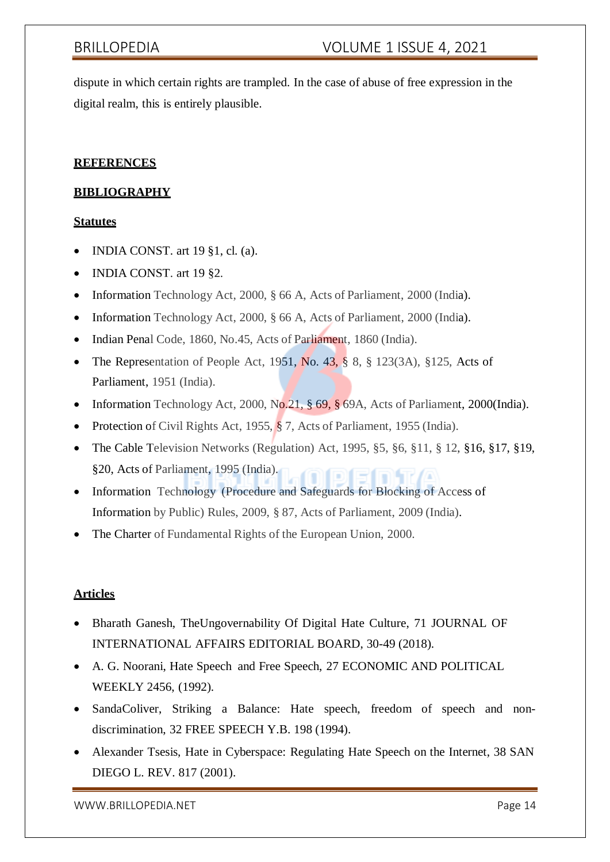dispute in which certain rights are trampled. In the case of abuse of free expression in the digital realm, this is entirely plausible.

## **REFERENCES**

## **BIBLIOGRAPHY**

## **Statutes**

- INDIA CONST. art  $19 \, \text{\$}1$ , cl. (a).
- INDIA CONST. art 19 §2.
- Information Technology Act, 2000, § 66 A, Acts of Parliament, 2000 (India).
- Information Technology Act, 2000, § 66 A, Acts of Parliament, 2000 (India).
- Indian Penal Code, 1860, No.45, Acts of Parliament, 1860 (India).
- The Representation of People Act, 1951, No.  $43, \S$  8,  $\S$  123(3A),  $\S$ 125, Acts of Parliament, 1951 (India).
- Information Technology Act, 2000, No.  $21, \frac{69}{569}$ ,  $69A$ , Acts of Parliament, 2000(India).
- Protection of Civil Rights Act, 1955, § 7, Acts of Parliament, 1955 (India).
- The Cable Television Networks (Regulation) Act, 1995, §5, §6, §11, § 12, §16, §17, §19, §20, Acts of Parliament, 1995 (India).
- Information Technology (Procedure and Safeguards for Blocking of Access of Information by Public) Rules, 2009, § 87, Acts of Parliament, 2009 (India).
- The Charter of Fundamental Rights of the European Union, 2000.

## **Articles**

- Bharath Ganesh, TheUngovernability Of Digital Hate Culture, 71 JOURNAL OF INTERNATIONAL AFFAIRS EDITORIAL BOARD, 30-49 (2018).
- A. G. Noorani, Hate Speech and Free Speech, 27 ECONOMIC AND POLITICAL WEEKLY 2456, (1992).
- SandaColiver, Striking a Balance: Hate speech, freedom of speech and nondiscrimination, 32 FREE SPEECH Y.B. 198 (1994).
- Alexander Tsesis, Hate in Cyberspace: Regulating Hate Speech on the Internet, 38 SAN DIEGO L. REV. 817 (2001).

[WWW.BRILLOPEDIA.NET](http://www.brillopedia.net/)